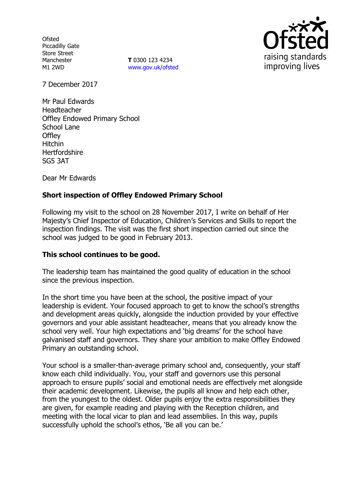**Ofsted** Piccadilly Gate Store Street Manchester M1 2WD

**T** 0300 123 4234 www.gov.uk/ofsted



7 December 2017

Mr Paul Edwards Headteacher Offley Endowed Primary School School Lane **Offley** Hitchin **Hertfordshire** SG5 3AT

Dear Mr Edwards

# **Short inspection of Offley Endowed Primary School**

Following my visit to the school on 28 November 2017, I write on behalf of Her Majesty's Chief Inspector of Education, Children's Services and Skills to report the inspection findings. The visit was the first short inspection carried out since the school was judged to be good in February 2013.

### **This school continues to be good.**

The leadership team has maintained the good quality of education in the school since the previous inspection.

In the short time you have been at the school, the positive impact of your leadership is evident. Your focused approach to get to know the school's strengths and development areas quickly, alongside the induction provided by your effective governors and your able assistant headteacher, means that you already know the school very well. Your high expectations and 'big dreams' for the school have galvanised staff and governors. They share your ambition to make Offley Endowed Primary an outstanding school.

Your school is a smaller-than-average primary school and, consequently, your staff know each child individually. You, your staff and governors use this personal approach to ensure pupils' social and emotional needs are effectively met alongside their academic development. Likewise, the pupils all know and help each other, from the youngest to the oldest. Older pupils enjoy the extra responsibilities they are given, for example reading and playing with the Reception children, and meeting with the local vicar to plan and lead assemblies. In this way, pupils successfully uphold the school's ethos, 'Be all you can be.'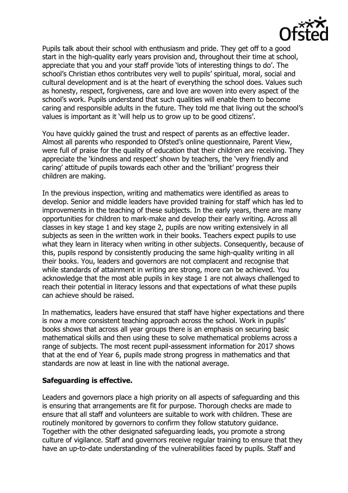Pupils talk about their school with enthusiasm and pride. They get off to a good start in the high-quality early years provision and, throughout their time at school, appreciate that you and your staff provide 'lots of interesting things to do'. The school's Christian ethos contributes very well to pupils' spiritual, moral, social and cultural development and is at the heart of everything the school does. Values such as honesty, respect, forgiveness, care and love are woven into every aspect of the school's work. Pupils understand that such qualities will enable them to become caring and responsible adults in the future. They told me that living out the school's values is important as it 'will help us to grow up to be good citizens'.

You have quickly gained the trust and respect of parents as an effective leader. Almost all parents who responded to Ofsted's online questionnaire, Parent View, were full of praise for the quality of education that their children are receiving. They appreciate the 'kindness and respect' shown by teachers, the 'very friendly and caring' attitude of pupils towards each other and the 'brilliant' progress their children are making.

In the previous inspection, writing and mathematics were identified as areas to develop. Senior and middle leaders have provided training for staff which has led to improvements in the teaching of these subjects. In the early years, there are many opportunities for children to mark-make and develop their early writing. Across all classes in key stage 1 and key stage 2, pupils are now writing extensively in all subjects as seen in the written work in their books. Teachers expect pupils to use what they learn in literacy when writing in other subjects. Consequently, because of this, pupils respond by consistently producing the same high-quality writing in all their books. You, leaders and governors are not complacent and recognise that while standards of attainment in writing are strong, more can be achieved. You acknowledge that the most able pupils in key stage 1 are not always challenged to reach their potential in literacy lessons and that expectations of what these pupils can achieve should be raised.

In mathematics, leaders have ensured that staff have higher expectations and there is now a more consistent teaching approach across the school. Work in pupils' books shows that across all year groups there is an emphasis on securing basic mathematical skills and then using these to solve mathematical problems across a range of subjects. The most recent pupil-assessment information for 2017 shows that at the end of Year 6, pupils made strong progress in mathematics and that standards are now at least in line with the national average.

### **Safeguarding is effective.**

Leaders and governors place a high priority on all aspects of safeguarding and this is ensuring that arrangements are fit for purpose. Thorough checks are made to ensure that all staff and volunteers are suitable to work with children. These are routinely monitored by governors to confirm they follow statutory guidance. Together with the other designated safeguarding leads, you promote a strong culture of vigilance. Staff and governors receive regular training to ensure that they have an up-to-date understanding of the vulnerabilities faced by pupils. Staff and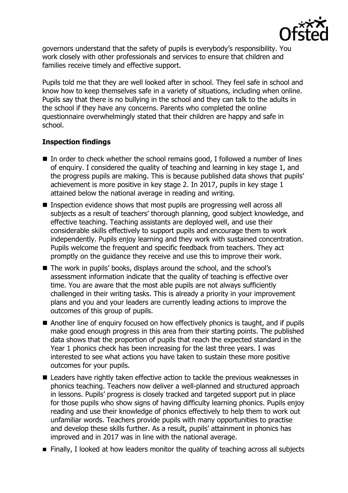

governors understand that the safety of pupils is everybody's responsibility. You work closely with other professionals and services to ensure that children and families receive timely and effective support.

Pupils told me that they are well looked after in school. They feel safe in school and know how to keep themselves safe in a variety of situations, including when online. Pupils say that there is no bullying in the school and they can talk to the adults in the school if they have any concerns. Parents who completed the online questionnaire overwhelmingly stated that their children are happy and safe in school.

# **Inspection findings**

- $\blacksquare$  In order to check whether the school remains good, I followed a number of lines of enquiry. I considered the quality of teaching and learning in key stage 1, and the progress pupils are making. This is because published data shows that pupils' achievement is more positive in key stage 2. In 2017, pupils in key stage 1 attained below the national average in reading and writing.
- Inspection evidence shows that most pupils are progressing well across all subjects as a result of teachers' thorough planning, good subject knowledge, and effective teaching. Teaching assistants are deployed well, and use their considerable skills effectively to support pupils and encourage them to work independently. Pupils enjoy learning and they work with sustained concentration. Pupils welcome the frequent and specific feedback from teachers. They act promptly on the guidance they receive and use this to improve their work.
- The work in pupils' books, displays around the school, and the school's assessment information indicate that the quality of teaching is effective over time. You are aware that the most able pupils are not always sufficiently challenged in their writing tasks. This is already a priority in your improvement plans and you and your leaders are currently leading actions to improve the outcomes of this group of pupils.
- Another line of enquiry focused on how effectively phonics is taught, and if pupils make good enough progress in this area from their starting points. The published data shows that the proportion of pupils that reach the expected standard in the Year 1 phonics check has been increasing for the last three years. I was interested to see what actions you have taken to sustain these more positive outcomes for your pupils.
- Leaders have rightly taken effective action to tackle the previous weaknesses in phonics teaching. Teachers now deliver a well-planned and structured approach in lessons. Pupils' progress is closely tracked and targeted support put in place for those pupils who show signs of having difficulty learning phonics. Pupils enjoy reading and use their knowledge of phonics effectively to help them to work out unfamiliar words. Teachers provide pupils with many opportunities to practise and develop these skills further. As a result, pupils' attainment in phonics has improved and in 2017 was in line with the national average.
- **Finally, I looked at how leaders monitor the quality of teaching across all subjects**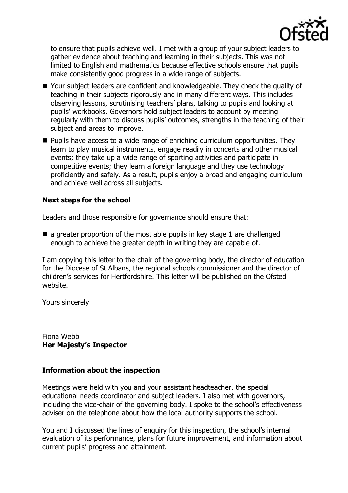

to ensure that pupils achieve well. I met with a group of your subject leaders to gather evidence about teaching and learning in their subjects. This was not limited to English and mathematics because effective schools ensure that pupils make consistently good progress in a wide range of subjects.

- Your subject leaders are confident and knowledgeable. They check the quality of teaching in their subjects rigorously and in many different ways. This includes observing lessons, scrutinising teachers' plans, talking to pupils and looking at pupils' workbooks. Governors hold subject leaders to account by meeting regularly with them to discuss pupils' outcomes, strengths in the teaching of their subject and areas to improve.
- **Pupils have access to a wide range of enriching curriculum opportunities. They** learn to play musical instruments, engage readily in concerts and other musical events; they take up a wide range of sporting activities and participate in competitive events; they learn a foreign language and they use technology proficiently and safely. As a result, pupils enjoy a broad and engaging curriculum and achieve well across all subjects.

# **Next steps for the school**

Leaders and those responsible for governance should ensure that:

 $\blacksquare$  a greater proportion of the most able pupils in key stage 1 are challenged enough to achieve the greater depth in writing they are capable of.

I am copying this letter to the chair of the governing body, the director of education for the Diocese of St Albans, the regional schools commissioner and the director of children's services for Hertfordshire. This letter will be published on the Ofsted website.

Yours sincerely

Fiona Webb **Her Majesty's Inspector**

### **Information about the inspection**

Meetings were held with you and your assistant headteacher, the special educational needs coordinator and subject leaders. I also met with governors, including the vice-chair of the governing body. I spoke to the school's effectiveness adviser on the telephone about how the local authority supports the school.

You and I discussed the lines of enquiry for this inspection, the school's internal evaluation of its performance, plans for future improvement, and information about current pupils' progress and attainment.